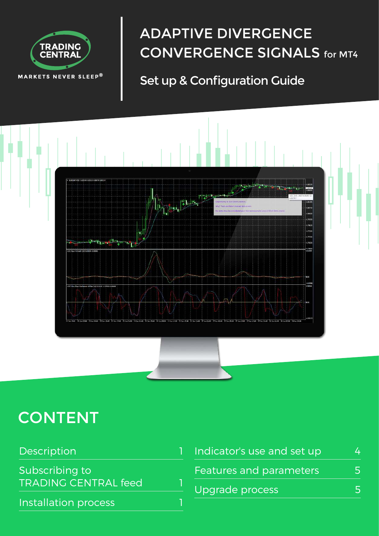

# ADAPTIVE DIVERGENCE CONVERGENCE SIGNALS for MT4

## Set up & Configuration Guide



# **CONTENT**

| Description                 | Indicator's use and set up | $\Delta$ |
|-----------------------------|----------------------------|----------|
| Subscribing to              | Features and parameters    |          |
| <b>TRADING CENTRAL feed</b> | Upgrade process            | 5        |
| Installation process        |                            |          |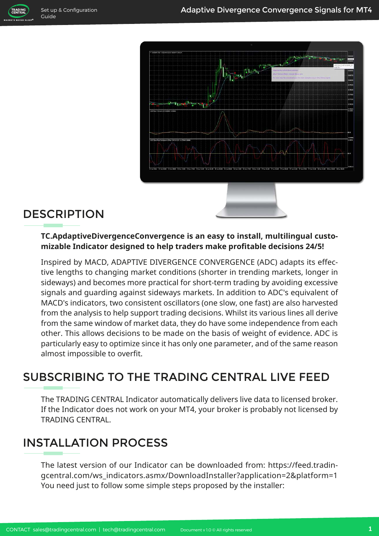**TRADING** 



### DESCRIPTION

#### **TC.ApdaptiveDivergenceConvergence is an easy to install, multilingual customizable Indicator designed to help traders make profitable decisions 24/5!**

Inspired by MACD, ADAPTIVE DIVERGENCE CONVERGENCE (ADC) adapts its effective lengths to changing market conditions (shorter in trending markets, longer in sideways) and becomes more practical for short-term trading by avoiding excessive signals and guarding against sideways markets. In addition to ADC's equivalent of MACD's indicators, two consistent oscillators (one slow, one fast) are also harvested from the analysis to help support trading decisions. Whilst its various lines all derive from the same window of market data, they do have some independence from each other. This allows decisions to be made on the basis of weight of evidence. ADC is particularly easy to optimize since it has only one parameter, and of the same reason almost impossible to overfit.

### SUBSCRIBING TO THE TRADING CENTRAL LIVE FEED

The TRADING CENTRAL Indicator automatically delivers live data to licensed broker. If the Indicator does not work on your MT4, your broker is probably not licensed by TRADING CENTRAL.

#### INSTALLATION PROCESS

The latest version of our Indicator can be downloaded from: https://feed.tradingcentral.com/ws\_indicators.asmx/DownloadInstaller?application=2&platform=1 You need just to follow some simple steps proposed by the installer: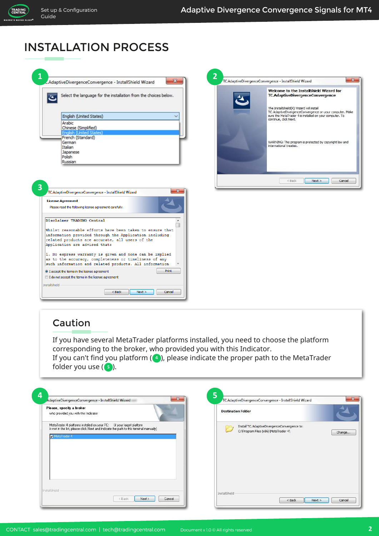TRADING<br>CENTRAL ARKETS NEVER SLEEP

#### INSTALLATION PROCESS

| Select the language for the installation from the choices below.<br>English (United States)<br>Arabic<br>Chinese (Simplified)<br><b>English (United States)</b><br>French (Standard)<br>German<br>Italian |       |
|-----------------------------------------------------------------------------------------------------------------------------------------------------------------------------------------------------------|-------|
|                                                                                                                                                                                                           |       |
|                                                                                                                                                                                                           |       |
|                                                                                                                                                                                                           |       |
|                                                                                                                                                                                                           |       |
|                                                                                                                                                                                                           |       |
|                                                                                                                                                                                                           |       |
|                                                                                                                                                                                                           |       |
| Japanese<br>Polish                                                                                                                                                                                        |       |
| Russian                                                                                                                                                                                                   |       |
| TC.AdaptiveDivergenceConvergence - InstallShield Wizard                                                                                                                                                   |       |
| <b>License Agreement</b><br>Please read the following license agreement carefully.                                                                                                                        |       |
| Disclaimer TRADING Central                                                                                                                                                                                |       |
| Whilst reasonable efforts have been taken to ensure that<br>information provided through the Application including<br>related products are accurate, all users of the<br>Application are advised that:    |       |
| 1. No express warranty is given and none can be implied<br>as to the accuracy, completeness or timeliness of any<br>such information and related products. All information                                |       |
|                                                                                                                                                                                                           |       |
| I accept the terms in the license agreement                                                                                                                                                               | Print |

<br/>Back Next> Cancel



#### Caution

If you have several MetaTrader platforms installed, you need to choose the platform corresponding to the broker, who provided you with this Indicator.

If you can't find you platform (4), please indicate the proper path to the MetaTrader folder you use ( <mark>5</mark> ).

| Please, specify a broker<br>who provided you with this Indicator                                                                                                                | <b>Destination Folder</b>                                                                                    |
|---------------------------------------------------------------------------------------------------------------------------------------------------------------------------------|--------------------------------------------------------------------------------------------------------------|
| MetaTrader 4 platforms installed on your PC: [if your target platform<br>is not in the list, please click Next and indicate the path to this terminal manually)<br>MetaTrader 4 | Install TC.AdaptiveDivergenceConvergence to:<br><u>e</u><br>C: \Program Files (x86) \MetaTrader 4\<br>Change |
|                                                                                                                                                                                 |                                                                                                              |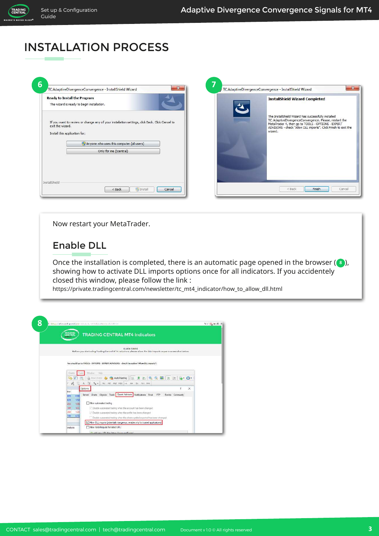TRADING<br>CENTRAL

## INSTALLATION PROCESS

| The wizard is ready to begin installation.        | <b>Ready to Install the Program</b>                                                                                                             | <b>InstallShield Wizard Completed</b>                                                                                                                                                                                                          |
|---------------------------------------------------|-------------------------------------------------------------------------------------------------------------------------------------------------|------------------------------------------------------------------------------------------------------------------------------------------------------------------------------------------------------------------------------------------------|
| exit the wizard.<br>Install this application for: | If you want to review or change any of your installation settings, click Back. Click Cancel to<br>[P] Anyone who uses this computer (all users) | The InstallShield Wizard has successfully installed<br>TC.AdaptiveDivergenceConvergence. Please, restart the<br>MetaTrader 4, then go to TOOLS - OPTIONS - EXPERT<br>ADVISORS - check "Allow DLL imports". Click Finish to exit the<br>wizard. |
|                                                   | Only for me (tcentral)                                                                                                                          |                                                                                                                                                                                                                                                |

Now restart your MetaTrader.

#### Enable DLL

Once the installation is completed, there is an automatic page opened in the browser (3), showing how to activate DLL imports options once for all indicators. If you accidentely closed this window, please follow the link :

https://private.tradingcentral.com/newsletter/tc\_mt4\_indicator/how\_to\_allow\_dll.html

| TRADING<br>CENTRAL<br><b>TRADING CENTRAL MT4 Indicators</b>                                                       |  |
|-------------------------------------------------------------------------------------------------------------------|--|
|                                                                                                                   |  |
| <b>START START</b><br>OUICK GUIDE                                                                                 |  |
| Before you start using Trading Central MT4 indicators, please allow the OLL imports as gen a screenshot below.    |  |
|                                                                                                                   |  |
| You should go to TOOLS - OPTIONS - EXPERT ADVISORS - check the option "Allow BLL importa":                        |  |
|                                                                                                                   |  |
| <b>Window</b><br><b>Hole</b><br>Toids<br>Charls                                                                   |  |
| $\mathbb{C}$ $\cdot$ $\mathbb{O}$ $\cdot$                                                                         |  |
| A T % . MI MS MIS MRO HE HA DE WI MM<br>社                                                                         |  |
| Options<br>v.<br>$\times$                                                                                         |  |
| <b>Bid</b><br>Server Charts Objects Trade Expert Advisors Notifications Email FTP Events Community<br>0.99<br>809 |  |
| 1.50<br>020                                                                                                       |  |
| Allow automated trading<br>1.08<br>455                                                                            |  |
| 723.<br>Citable automated trading when the account has been changed<br>149                                        |  |
| 360<br>1.35<br>Cisable automated trading when the profile has been changed                                        |  |
| 0.72<br>140<br>Disable automated trading when the charts symbol or period has been changed                        |  |
| Allow DLL imports (potentially dangerous, enable only for trusted applications)                                   |  |
| Allow WebRequest for lated URL:<br>unalysis                                                                       |  |
| (5) additional LIDI New Street / Assuranced Record                                                                |  |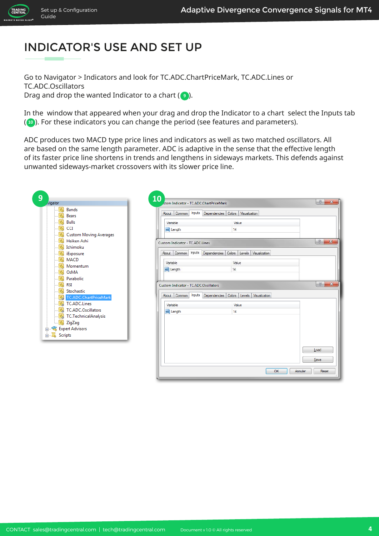TRADING

# INDICATOR'S USE AND SET UP

Go to Navigator > Indicators and look for TC.ADC.ChartPriceMark, TC.ADC.Lines or TC.ADC.Oscillators Drag and drop the wanted Indicator to a chart  $(\bullet)$ .

In the window that appeared when your drag and drop the Indicator to a chart select the Inputs tab (**10**). For these indicators you can change the period (see features and parameters).

ADC produces two MACD type price lines and indicators as well as two matched oscillators. All are based on the same length parameter. ADC is adaptive in the sense that the effective length of its faster price line shortens in trends and lengthens in sideways markets. This defends against unwanted sideways-market crossovers with its slower price line.

| vigator                                                                                                     | 10<br>stom Indicator - TC.ADC.ChartPriceMark                                                                   | ?<br>$\mathbf{x}$             |
|-------------------------------------------------------------------------------------------------------------|----------------------------------------------------------------------------------------------------------------|-------------------------------|
| $f_{\odot}$ Bands<br><b>Bears</b><br>$f_{\lambda}$                                                          | Inputs Dependencies Colors Visualization<br>About Common                                                       |                               |
| <b>Bulls</b><br>CCI<br><b>Custom Moving Averages</b><br>$f_{\circ}$                                         | Variable<br>Value<br>14<br>tea <sup>Length</sup>                                                               |                               |
| Heiken Ashi<br>£<br>Ichimoku<br>f,<br>iExposure                                                             | Custom Indicator - TC.ADC.Lines<br>About Common Inputs Dependencies Colors Levels<br>Visualization             | $\mathcal{D}$<br>$\mathbf{x}$ |
| <b>MACD</b><br>Momentum<br>OsMA<br>Parabolic<br>$f_{\wedge}$                                                | Variable<br>Value<br>tas Length<br>14                                                                          |                               |
| £<br><b>RSI</b><br>Stochastic<br>$f_{\alpha}$<br>TC.ADC.ChartPriceMark                                      | Custom Indicator - TC.ADC.Oscillators<br>Colors Levels<br>Inputs Dependencies<br>Visualization<br>About Common | 8<br>$\mathbf{x}$             |
| $f_{\odot}$<br><b>F</b> TC.ADC.Lines<br>TC.ADC.Oscillators<br>Fo TC.TechnicalAnalysis<br>$F_{\odot}$ ZigZag | Variable<br>Value<br>14<br>teal Length                                                                         |                               |
| Expert Advisors<br><b>Scripts</b><br>田墨                                                                     |                                                                                                                | Load<br>Save                  |